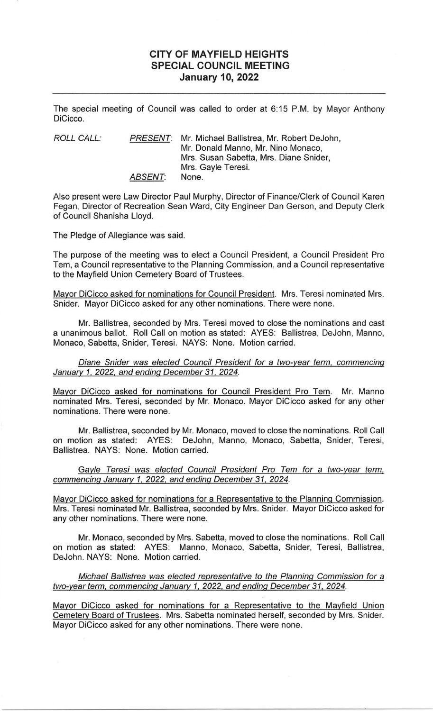## **CITY OF MAYFIELD HEIGHTS SPECIAL COUNCIL MEETING January 10, 2022**

The special meeting of Council was called to order at 6:15 P.M. by Mayor Anthony DiCicco.

| ROLL CALL: | <b>PRESENT:</b> | Mr. Michael Ballistrea, Mr. Robert DeJohn, |
|------------|-----------------|--------------------------------------------|
|            |                 | Mr. Donald Manno, Mr. Nino Monaco.         |
|            |                 | Mrs. Susan Sabetta, Mrs. Diane Snider,     |
|            |                 | Mrs. Gayle Teresi.                         |
|            | <b>ABSENT:</b>  | None.                                      |

Also present were Law Director Paul Murphy, Director of Finance/Clerk of Council Karen Fegan, Director of Recreation Sean Ward, City Engineer Dan Gerson, and Deputy Clerk of Council Shanisha Lloyd.

The Pledge of Allegiance was said.

The purpose of the meeting was to elect a Council President, a Council President Pro Tem, a Council representative to the Planning Commission, and a Council representative to the Mayfield Union Cemetery Board of Trustees.

Mayor DiCicco asked for nominations for Council President. Mrs. Teresi nominated Mrs. Snider. Mayor DiCicco asked for any other nominations. There were none.

Mr. Ballistrea, seconded by Mrs. Teresi moved to close the nominations and cast a unanimous ballot. Roll Call on motion as stated: A YES: Ballistrea, DeJohn, Manno, Monaco, Sabetta, Snider, Teresi. NAYS: None. Motion carried.

Diane Snider was elected Council President for a two-vear term, commencing January 1, 2022, and ending December 31, 2024.

Mayor DiCicco asked for nominations for Council President Pro Tem. Mr. Manno nominated Mrs. Teresi, seconded by Mr. Monaco. Mayor DiCicco asked for any other nominations. There were none.

Mr. Ballistrea, seconded by Mr. Monaco, moved to close the nominations. Roll Call on motion as stated: AYES: DeJohn, Manno, Monaco, Sabetta, Snider, Teresi, Ballistrea. NAYS: None. Motion carried.

Gayle Teresi was elected Council President Pro Tem for a two-year term, commencing January 1, 2022, and ending December 31, 2024.

Mayor DiCicco asked for nominations for a Representative to the Planning Commission. Mrs. Teresi nominated Mr. Ballistrea, seconded by Mrs. Snider. Mayor DiCicco asked for any other nominations. There were none.

Mr. Monaco, seconded by Mrs. Sabetta, moved to close the nominations. Roll Call on motion as stated: AYES: Manno, Monaco, Sabetta, Snider, Teresi, Ballistrea, DeJohn. NAYS: None. Motion carried.

Michael Ballistrea was elected representative to the Planning Commission for a two-vear term, commencing January 1, 2022, and ending December 31, 2024.

Mayor DiCicco asked for nominations for a Representative to the Mayfield Union Cemetery Board of Trustees. Mrs. Sabetta nominated herself, seconded by Mrs. Snider. Mayor DiCicco asked for any other nominations. There were none.